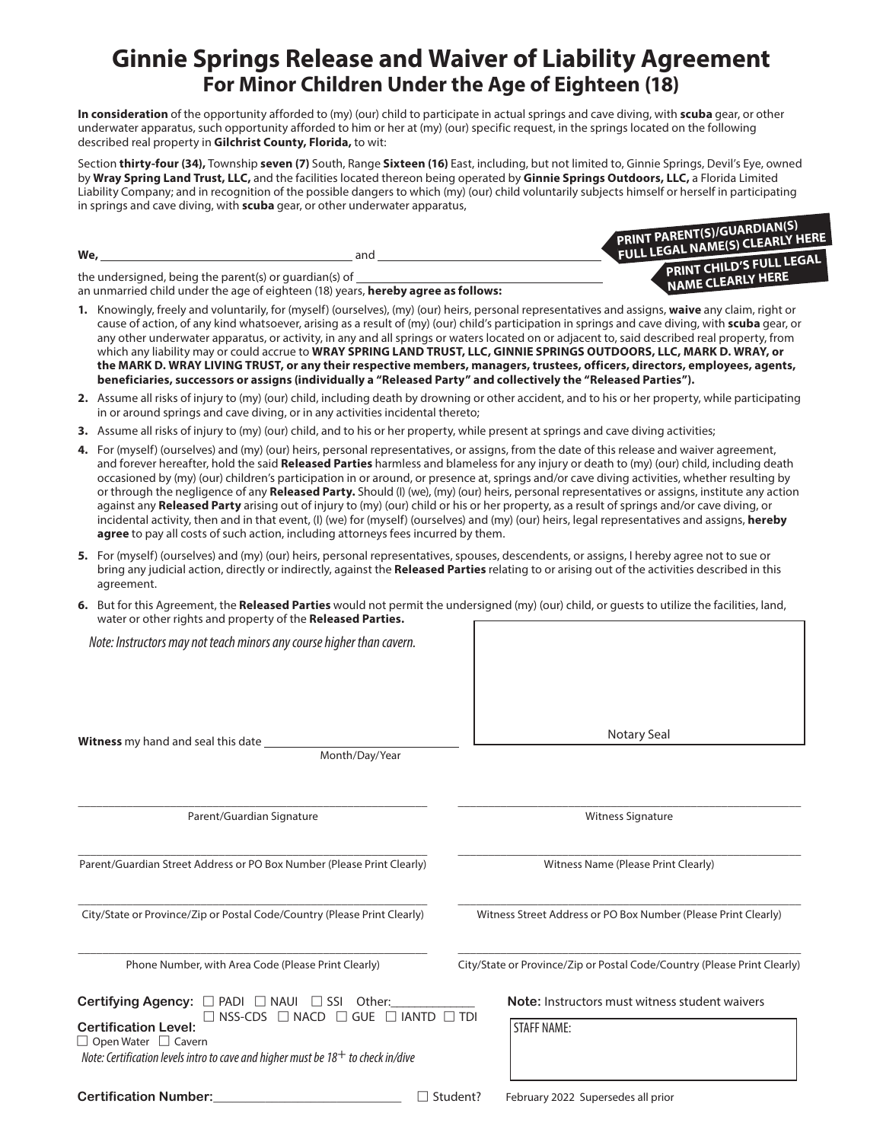## **Ginnie Springs Release and Waiver of Liability Agreement For Minor Children Under the Age of Eighteen (18)**

**In consideration** of the opportunity afforded to (my) (our) child to participate in actual springs and cave diving, with **scuba** gear, or other underwater apparatus, such opportunity afforded to him or her at (my) (our) specific request, in the springs located on the following described real property in **Gilchrist County, Florida,** to wit:

Section **thirty-four (34),** Township **seven (7)** South, Range **Sixteen (16)** East, including, but not limited to, Ginnie Springs, Devil's Eye, owned by **Wray Spring Land Trust, LLC,** and the facilities located thereon being operated by **Ginnie Springs Outdoors, LLC,** a Florida Limited Liability Company; and in recognition of the possible dangers to which (my) (our) child voluntarily subjects himself or herself in participating in springs and cave diving, with **scuba** gear, or other underwater apparatus,

| We,<br>and                                                                                                                                  | <b>PRINT PARENT(S)/GUARDIAN(S)</b><br>FULL LEGAL NAME(S) CLEARLY HERE<br>PRINT CHILD'S FULL LEGAL |
|---------------------------------------------------------------------------------------------------------------------------------------------|---------------------------------------------------------------------------------------------------|
| the undersigned, being the parent(s) or quardian(s) of<br>an unmarried child under the age of eighteen (18) years, hereby agree as follows: | NAME CLEARLY HERE                                                                                 |

- **1.** Knowingly, freely and voluntarily, for (myself) (ourselves), (my) (our) heirs, personal representatives and assigns, **waive** any claim, right or cause of action, of any kind whatsoever, arising as a result of (my) (our) child's participation in springs and cave diving, with **scuba** gear, or any other underwater apparatus, or activity, in any and all springs or waters located on or adjacent to, said described real property, from which any liability may or could accrue to **WRAY SPRING LAND TRUST, LLC, GINNIE SPRINGS OUTDOORS, LLC, MARK D. WRAY, or the MARK D. WRAY LIVING TRUST, or any their respective members, managers, trustees, officers, directors, employees, agents, beneficiaries, successors or assigns (individually a "Released Party" and collectively the "Released Parties").**
- **2.** Assume all risks of injury to (my) (our) child, including death by drowning or other accident, and to his or her property, while participating in or around springs and cave diving, or in any activities incidental thereto;
- **3.** Assume all risks of injury to (my) (our) child, and to his or her property, while present at springs and cave diving activities;
- **4.** For (myself) (ourselves) and (my) (our) heirs, personal representatives, or assigns, from the date of this release and waiver agreement, and forever hereafter, hold the said **Released Parties** harmless and blameless for any injury or death to (my) (our) child, including death occasioned by (my) (our) children's participation in or around, or presence at, springs and/or cave diving activities, whether resulting by or through the negligence of any **Released Party.** Should (I) (we), (my) (our) heirs, personal representatives or assigns, institute any action against any **Released Party** arising out of injury to (my) (our) child or his or her property, as a result of springs and/or cave diving, or incidental activity, then and in that event, (I) (we) for (myself) (ourselves) and (my) (our) heirs, legal representatives and assigns, **hereby agree** to pay all costs of such action, including attorneys fees incurred by them.
- **5.** For (myself) (ourselves) and (my) (our) heirs, personal representatives, spouses, descendents, or assigns, I hereby agree not to sue or bring any judicial action, directly or indirectly, against the **Released Parties** relating to or arising out of the activities described in this agreement.
- **6.** But for this Agreement, the **Released Parties** would not permit the undersigned (my) (our) child, or guests to utilize the facilities, land, water or other rights and property of the **Released Parties.**

*Note: Instructors may not teach minors any course higher than cavern.*

**Witness** my hand and seal this date

Month/Day/Year

Parent/Guardian Signature

Parent/Guardian Street Address or PO Box Number (Please Print Clearly)

City/State or Province/Zip or Postal Code/Country (Please Print Clearly)

Phone Number, with Area Code (Please Print Clearly)

**Certifying Agency:**  $\Box$  PADI  $\Box$  NAUI  $\Box$  SSI Other:\_\_\_\_\_\_\_\_\_\_\_\_\_\_ **Note:** Instructors must witness student waivers Certification Level:  $\square$  NSS-CDS  $\square$  NACD  $\square$  GUE  $\square$  IANTD  $\square$  TDI  $\Box$  Open Water  $\Box$  Cavern

 *Note: Certification levels intro to cave and higher must be 18+ to check in/dive*

\_\_\_\_\_\_\_\_\_\_\_\_\_\_\_\_\_\_\_\_\_\_\_\_\_\_\_\_\_\_\_\_\_\_\_\_\_\_\_\_\_\_\_\_\_\_\_\_\_\_\_\_\_\_\_\_\_ \_\_\_\_\_\_\_\_\_\_\_\_\_\_\_\_\_\_\_\_\_\_\_\_\_\_\_\_\_\_\_\_\_\_\_\_\_\_\_\_\_\_\_\_\_\_\_\_\_\_\_\_\_\_\_\_ Witness Signature

Notary Seal

\_\_\_\_\_\_\_\_\_\_\_\_\_\_\_\_\_\_\_\_\_\_\_\_\_\_\_\_\_\_\_\_\_\_\_\_\_\_\_\_\_\_\_\_\_\_\_\_\_\_\_\_\_\_\_\_\_ \_\_\_\_\_\_\_\_\_\_\_\_\_\_\_\_\_\_\_\_\_\_\_\_\_\_\_\_\_\_\_\_\_\_\_\_\_\_\_\_\_\_\_\_\_\_\_\_\_\_\_\_\_\_\_\_ Witness Name (Please Print Clearly)

Witness Street Address or PO Box Number (Please Print Clearly)

City/State or Province/Zip or Postal Code/Country (Please Print Clearly)

STAFF NAME:

\_\_\_\_\_\_\_\_\_\_\_\_\_\_\_\_\_\_\_\_\_\_\_\_\_\_\_\_\_\_\_\_\_\_\_\_\_\_\_\_\_\_\_\_\_\_\_\_\_\_\_\_\_\_\_\_\_ \_\_\_\_\_\_\_\_\_\_\_\_\_\_\_\_\_\_\_\_\_\_\_\_\_\_\_\_\_\_\_\_\_\_\_\_\_\_\_\_\_\_\_\_\_\_\_\_\_\_\_\_\_\_\_\_

\_\_\_\_\_\_\_\_\_\_\_\_\_\_\_\_\_\_\_\_\_\_\_\_\_\_\_\_\_\_\_\_\_\_\_\_\_\_\_\_\_\_\_\_\_\_\_\_\_\_\_\_\_\_\_\_\_ \_\_\_\_\_\_\_\_\_\_\_\_\_\_\_\_\_\_\_\_\_\_\_\_\_\_\_\_\_\_\_\_\_\_\_\_\_\_\_\_\_\_\_\_\_\_\_\_\_\_\_\_\_\_\_\_

**Certification Number:**  $\Box$  Student? February 2022 Supersedes all prior